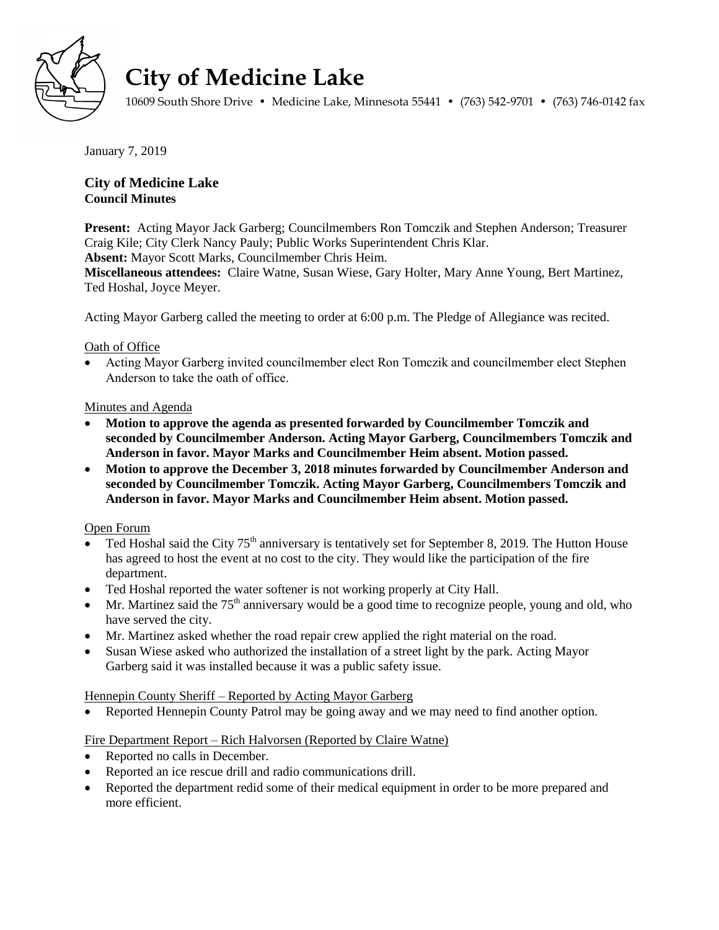

# **City of Medicine Lake**

10609 South Shore Drive • Medicine Lake, Minnesota 55441 • (763) 542-9701 • (763) 746-0142 fax

January 7, 2019

# **City of Medicine Lake Council Minutes**

**Present:** Acting Mayor Jack Garberg; Councilmembers Ron Tomczik and Stephen Anderson; Treasurer Craig Kile; City Clerk Nancy Pauly; Public Works Superintendent Chris Klar.

**Absent:** Mayor Scott Marks, Councilmember Chris Heim.

**Miscellaneous attendees:** Claire Watne, Susan Wiese, Gary Holter, Mary Anne Young, Bert Martinez, Ted Hoshal, Joyce Meyer.

Acting Mayor Garberg called the meeting to order at 6:00 p.m. The Pledge of Allegiance was recited.

## Oath of Office

 Acting Mayor Garberg invited councilmember elect Ron Tomczik and councilmember elect Stephen Anderson to take the oath of office.

## Minutes and Agenda

- **Motion to approve the agenda as presented forwarded by Councilmember Tomczik and seconded by Councilmember Anderson. Acting Mayor Garberg, Councilmembers Tomczik and Anderson in favor. Mayor Marks and Councilmember Heim absent. Motion passed.**
- **Motion to approve the December 3, 2018 minutes forwarded by Councilmember Anderson and seconded by Councilmember Tomczik. Acting Mayor Garberg, Councilmembers Tomczik and Anderson in favor. Mayor Marks and Councilmember Heim absent. Motion passed.**

## Open Forum

- Ted Hoshal said the City 75<sup>th</sup> anniversary is tentatively set for September 8, 2019. The Hutton House has agreed to host the event at no cost to the city. They would like the participation of the fire department.
- Ted Hoshal reported the water softener is not working properly at City Hall.
- $\bullet$  Mr. Martinez said the 75<sup>th</sup> anniversary would be a good time to recognize people, young and old, who have served the city.
- Mr. Martinez asked whether the road repair crew applied the right material on the road.
- Susan Wiese asked who authorized the installation of a street light by the park. Acting Mayor Garberg said it was installed because it was a public safety issue.

#### Hennepin County Sheriff – Reported by Acting Mayor Garberg

• Reported Hennepin County Patrol may be going away and we may need to find another option.

# Fire Department Report – Rich Halvorsen (Reported by Claire Watne)

- Reported no calls in December.
- Reported an ice rescue drill and radio communications drill.
- Reported the department redid some of their medical equipment in order to be more prepared and more efficient.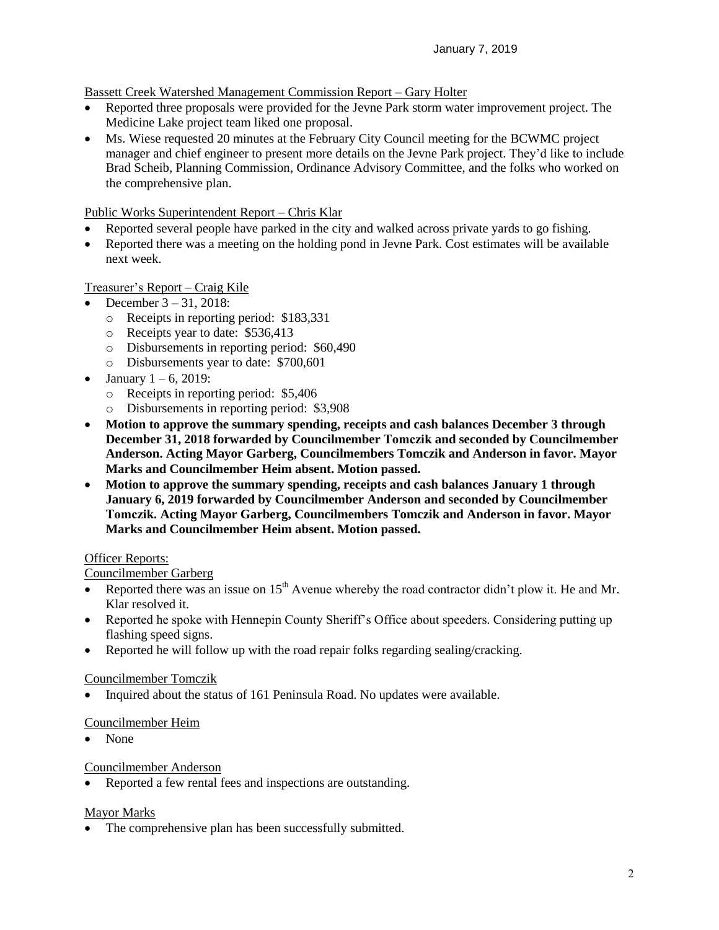## Bassett Creek Watershed Management Commission Report – Gary Holter

- Reported three proposals were provided for the Jevne Park storm water improvement project. The Medicine Lake project team liked one proposal.
- Ms. Wiese requested 20 minutes at the February City Council meeting for the BCWMC project manager and chief engineer to present more details on the Jevne Park project. They'd like to include Brad Scheib, Planning Commission, Ordinance Advisory Committee, and the folks who worked on the comprehensive plan.

## Public Works Superintendent Report – Chris Klar

- Reported several people have parked in the city and walked across private yards to go fishing.
- Reported there was a meeting on the holding pond in Jevne Park. Cost estimates will be available next week.

# Treasurer's Report – Craig Kile

- December  $3 31$ , 2018:
	- o Receipts in reporting period: \$183,331
	- o Receipts year to date: \$536,413
	- o Disbursements in reporting period: \$60,490
	- o Disbursements year to date: \$700,601
- January  $1 6$ , 2019:
	- o Receipts in reporting period: \$5,406
	- o Disbursements in reporting period: \$3,908
- **Motion to approve the summary spending, receipts and cash balances December 3 through December 31, 2018 forwarded by Councilmember Tomczik and seconded by Councilmember Anderson. Acting Mayor Garberg, Councilmembers Tomczik and Anderson in favor. Mayor Marks and Councilmember Heim absent. Motion passed.**
- **Motion to approve the summary spending, receipts and cash balances January 1 through January 6, 2019 forwarded by Councilmember Anderson and seconded by Councilmember Tomczik. Acting Mayor Garberg, Councilmembers Tomczik and Anderson in favor. Mayor Marks and Councilmember Heim absent. Motion passed.**

# Officer Reports:

## Councilmember Garberg

- Reported there was an issue on  $15<sup>th</sup>$  Avenue whereby the road contractor didn't plow it. He and Mr. Klar resolved it.
- Reported he spoke with Hennepin County Sheriff's Office about speeders. Considering putting up flashing speed signs.
- Reported he will follow up with the road repair folks regarding sealing/cracking.

#### Councilmember Tomczik

Inquired about the status of 161 Peninsula Road. No updates were available.

#### Councilmember Heim

• None

#### Councilmember Anderson

Reported a few rental fees and inspections are outstanding.

#### Mayor Marks

• The comprehensive plan has been successfully submitted.